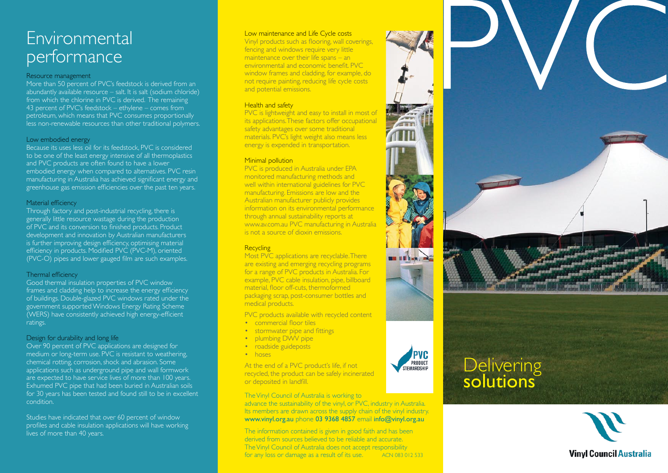### Environmental performance

### Resource management

More than 50 percent of PVC's feedstock is derived from an abundantly available resource – salt. It is salt (sodium chloride) from which the chlorine in PVC is derived. The remaining 43 percent of PVC's feedstock – ethylene – comes from petroleum, which means that PVC consumes proportionally less non-renewable resources than other traditional polymers.

### Low embodied energy

Because its uses less oil for its feedstock, PVC is considered to be one of the least energy intensive of all thermoplastics and PVC products are often found to have a lower embodied energy when compared to alternatives. PVC resin manufacturing in Australia has achieved significant energy and greenhouse gas emission efficiencies over the past ten years.

### Material efficiency

Through factory and post-industrial recycling, there is generally little resource wastage during the production of PVC and its conversion to finished products. Product development and innovation by Australian manufacturers is further improving design efficiency, optimising material efficiency in products. Modified PVC (PVC-M), oriented (PVC-O) pipes and lower gauged film are such examples.

### Thermal efficiency

Good thermal insulation properties of PVC window frames and cladding help to increase the energy efficiency of buildings. Double-glazed PVC windows rated under the government supported Windows Energy Rating Scheme (WERS) have consistently achieved high energy-efficient ratings.

### Design for durability and long life

Over 90 percent of PVC applications are designed for medium or long-term use. PVC is resistant to weathering. chemical rotting, corrosion, shock and abrasion. Some applications such as underground pipe and wall formwork are expected to have service lives of more than 100 years. Exhumed PVC pipe that had been buried in Australian soils for 30 years has been tested and found still to be in excellent condition.

Studies have indicated that over 60 percent of window profiles and cable insulation applications will have working lives of more than 40 years.

#### Low maintenance and Life Cycle costs

Vinyl products such as flooring, wall coverings, fencing and windows require very little maintenance over their life spans – an environmental and economic benefit. PVC window frames and cladding, for example, do not require painting, reducing life cycle costs and potential emissions.

### **Health and safety**

PVC is lightweight and easy to install in most of its applications. These factors offer occupational safety advantages over some traditional materials. PVC's light weight also means less energy is expended in transportation.

### **Minimal pollution**

PVC is produced in Australia under EPA monitored manufacturing methods and well within international guidelines for PVC manufacturing. Emissions are low and the Australian manufacturer publicly provides information on its environmental performance through annual sustainability reports at www.av.com.au PVC manufacturing in Australia is not a source of dioxin emissions.

### **Recycling**

Most PVC applications are recyclable. There are existing and emerging recycling programs for a range of PVC products in Australia. For example, PVC cable insulation, pipe, billboard material, floor off-cuts, thermoformed packaging scrap, post-consumer bottles and medical products.

- PVC products available with recycled content
- commercial floor tiles
- stormwater pipe and fittings
- plumbing DWV pipe
- roadside guideposts
- hoses

At the end of a PVC product's life, if not recycled, the product can be safely incinerated or deposited in landfill.

The Vinyl Council of Australia is working to advance the sustainability of the vinyl, or PVC, industry in Australia. Its members are drawn across the supply chain of the vinyl industry. www.vinyl.org.au phone 03 9368 4857 email info@vinyl.org.au

The information contained is given in good faith and has been derived from sources believed to be reliable and accurate. The Vinyl Council of Australia does not accept responsibility for any loss or damage as a result of its use. ACN 083 012 533





## **Delivering** solutions